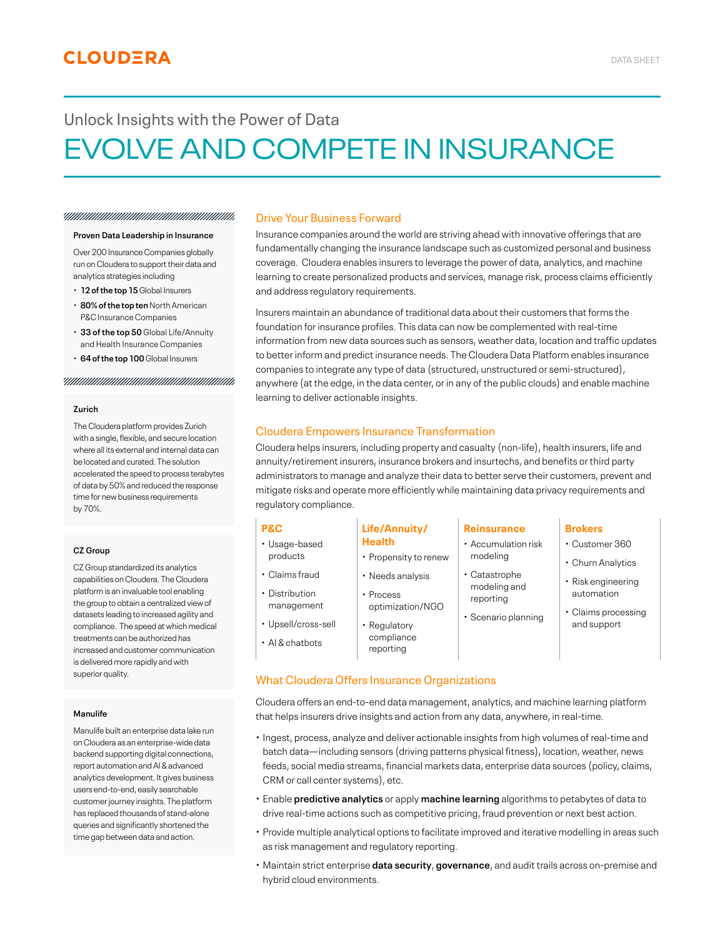# Unlock Insights with the Power of Data EVOLVE AND COMPETE IN INSURANCE

#### 

#### **Proven Data Leadership in Insurance**

Over 200 Insurance Companies globally run on Cloudera to support their data and analytics strategies including

- **12 of the top 15** Global Insurers
- **80% of the top ten** North American P&C Insurance Companies
- **33 of the top 50** Global Life/Annuity and Health Insurance Companies
- **64 of the top 100** Global Insurers

#### 

#### **Zurich**

The Cloudera platform provides Zurich with a single, flexible, and secure location where all its external and internal data can be located and curated. The solution accelerated the speed to process terabytes of data by 50% and reduced the response time for new business requirements by 70%.

#### **CZ Group**

CZ Group standardized its analytics capabilities on Cloudera. The Cloudera platform is an invaluable tool enabling the group to obtain a centralized view of datasets leading to increased agility and compliance. The speed at which medical treatments can be authorized has increased and customer communication is delivered more rapidly and with superior quality.

#### **Manulife**

Manulife built an enterprise data lake run on Cloudera as an enterprise-wide data backend supporting digital connections, report automation and AI & advanced analytics development. It gives business users end-to-end, easily searchable customer journey insights. The platform has replaced thousands of stand-alone queries and significantly shortened the time gap between data and action.

## Drive Your Business Forward

Insurance companies around the world are striving ahead with innovative offerings that are fundamentally changing the insurance landscape such as customized personal and business coverage. Cloudera enables insurers to leverage the power of data, analytics, and machine learning to create personalized products and services, manage risk, process claims efficiently and address regulatory requirements.

Insurers maintain an abundance of traditional data about their customers that forms the foundation for insurance profiles. This data can now be complemented with real-time information from new data sources such as sensors, weather data, location and traffic updates to better inform and predict insurance needs. The Cloudera Data Platform enables insurance companies to integrate any type of data (structured, unstructured or semi-structured), anywhere (at the edge, in the data center, or in any of the public clouds) and enable machine learning to deliver actionable insights.

### Cloudera Empowers Insurance Transformation

Cloudera helps insurers, including property and casualty (non-life), health insurers, life and annuity/retirement insurers, insurance brokers and insurtechs, and benefits or third party administrators to manage and analyze their data to better serve their customers, prevent and mitigate risks and operate more efficiently while maintaining data privacy requirements and regulatory compliance.

## **P&C**

- Usage-based products
- Claims fraud
- Distribution management
- Upsell/cross-sell
- AI & chatbots
- Propensity to renew
- Process

#### **Reinsurance**

- Accumulation risk
- modeling • Catastrophe

modeling and

- reporting • Scenario planning
- **Brokers**
- Customer 360
- Churn Analytics
- Risk engineering automation
- Claims processing and support

# **Life/Annuity/ Health**

- 
- Regulatory compliance reporting

# What Cloudera Offers Insurance Organizations

Cloudera offers an end-to-end data management, analytics, and machine learning platform that helps insurers drive insights and action from any data, anywhere, in real-time.

- Ingest, process, analyze and deliver actionable insights from high volumes of real-time and batch data—including sensors (driving patterns physical fitness), location, weather, news feeds, social media streams, financial markets data, enterprise data sources (policy, claims, CRM or call center systems), etc.
- Enable **predictive analytics** or apply **machine learning** algorithms to petabytes of data to drive real-time actions such as competitive pricing, fraud prevention or next best action.
- Provide multiple analytical options to facilitate improved and iterative modelling in areas such as risk management and regulatory reporting.
- Maintain strict enterprise **data security**, **governance**, and audit trails across on-premise and hybrid cloud environments.
- Needs analysis
	- optimization/NGO
		-